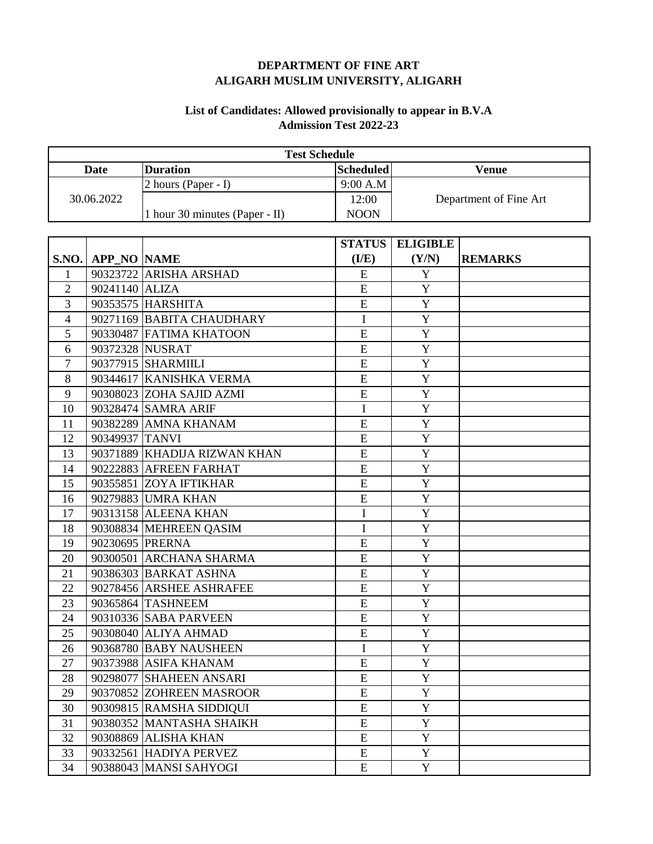## **DEPARTMENT OF FINE ART ALIGARH MUSLIM UNIVERSITY, ALIGARH**

## **List of Candidates: Allowed provisionally to appear in B.V.A Admission Test 2022-23**

| <b>Test Schedule</b> |                    |                                |                  |                        |                |  |
|----------------------|--------------------|--------------------------------|------------------|------------------------|----------------|--|
| <b>Date</b>          |                    | <b>Duration</b>                | <b>Scheduled</b> |                        | <b>Venue</b>   |  |
| 30.06.2022           |                    | 2 hours (Paper - I)            | 9:00 A.M         | Department of Fine Art |                |  |
|                      |                    |                                | 12:00            |                        |                |  |
|                      |                    | 1 hour 30 minutes (Paper - II) | <b>NOON</b>      |                        |                |  |
|                      |                    |                                |                  |                        |                |  |
|                      |                    |                                | <b>STATUS</b>    | <b>ELIGIBLE</b>        |                |  |
| <b>S.NO.</b>         | <b>APP_NO NAME</b> |                                | (I/E)            | (Y/N)                  | <b>REMARKS</b> |  |
| 1                    |                    | 90323722 ARISHA ARSHAD         | E                | $\mathbf Y$            |                |  |
| $\overline{2}$       | 90241140 ALIZA     |                                | ${\bf E}$        | Y                      |                |  |
| 3                    |                    | 90353575 HARSHITA              | E                | Y                      |                |  |
| $\overline{4}$       |                    | 90271169 BABITA CHAUDHARY      | $\bf I$          | $\overline{Y}$         |                |  |
| 5                    |                    | 90330487 FATIMA KHATOON        | E                | $\mathbf Y$            |                |  |
| 6                    | 90372328 NUSRAT    |                                | E                | Y                      |                |  |
| $\overline{7}$       |                    | 90377915 SHARMIILI             | E                | $\mathbf Y$            |                |  |
| 8                    |                    | 90344617 KANISHKA VERMA        | E                | $\mathbf Y$            |                |  |
| 9                    |                    | 90308023 ZOHA SAJID AZMI       | E                | Y                      |                |  |
| 10                   |                    | 90328474 SAMRA ARIF            | I                | Y                      |                |  |
| 11                   |                    | 90382289 AMNA KHANAM           | E                | $\mathbf Y$            |                |  |
| 12                   | 90349937 TANVI     |                                | ${\bf E}$        | Y                      |                |  |
| 13                   |                    | 90371889 KHADIJA RIZWAN KHAN   | E                | $\mathbf Y$            |                |  |
| 14                   |                    | 90222883 AFREEN FARHAT         | ${\bf E}$        | $\mathbf Y$            |                |  |
| 15                   |                    | 90355851 ZOYA IFTIKHAR         | E                | Y                      |                |  |
| 16                   |                    | 90279883 UMRA KHAN             | ${\bf E}$        | Y                      |                |  |
| 17                   |                    | 90313158 ALEENA KHAN           | $\mathbf I$      | $\mathbf Y$            |                |  |
| 18                   |                    | 90308834 MEHREEN QASIM         | $\mathbf I$      | Y                      |                |  |
| 19                   | 90230695 PRERNA    |                                | ${\bf E}$        | $\mathbf Y$            |                |  |
| 20                   |                    | 90300501 ARCHANA SHARMA        | E                | $\mathbf Y$            |                |  |
| 21                   |                    | 90386303 BARKAT ASHNA          | E                | Y                      |                |  |
| 22                   |                    | 90278456 ARSHEE ASHRAFEE       | E                | Y                      |                |  |
| 23                   |                    | 90365864 TASHNEEM              | E                | Y                      |                |  |
| 24                   |                    | 90310336 SABA PARVEEN          | E                | Y                      |                |  |
| 25                   |                    | 90308040 ALIYA AHMAD           | E                | Y                      |                |  |
| 26                   |                    | 90368780 BABY NAUSHEEN         | $\bf I$          | $\mathbf Y$            |                |  |
| 27                   |                    | 90373988 ASIFA KHANAM          | ${\bf E}$        | $\mathbf Y$            |                |  |
| 28                   |                    | 90298077 SHAHEEN ANSARI        | ${\bf E}$        | Y                      |                |  |
| 29                   |                    | 90370852 ZOHREEN MASROOR       | ${\bf E}$        | $\mathbf Y$            |                |  |
| 30                   |                    | 90309815 RAMSHA SIDDIQUI       | ${\bf E}$        | Y                      |                |  |
| 31                   |                    | 90380352 MANTASHA SHAIKH       | ${\bf E}$        | Y                      |                |  |
| 32                   |                    | 90308869 ALISHA KHAN           | ${\bf E}$        | $\mathbf Y$            |                |  |
| 33                   |                    | 90332561 HADIYA PERVEZ         | ${\bf E}$        | $\mathbf Y$            |                |  |
| 34                   |                    | 90388043 MANSI SAHYOGI         | E                | $\mathbf Y$            |                |  |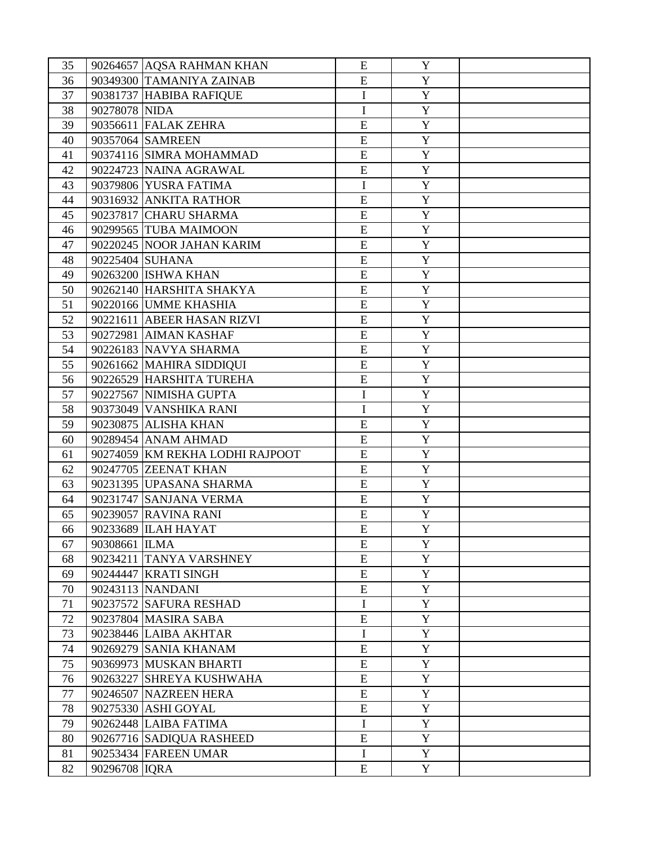| 35 |                 | 90264657 AQSA RAHMAN KHAN       | E           | Y              |  |
|----|-----------------|---------------------------------|-------------|----------------|--|
| 36 |                 | 90349300 TAMANIYA ZAINAB        | E           | $\mathbf Y$    |  |
| 37 |                 | 90381737 HABIBA RAFIQUE         | I           | $\mathbf Y$    |  |
| 38 | 90278078 NIDA   |                                 | $\mathbf I$ | $\mathbf Y$    |  |
| 39 |                 | 90356611 FALAK ZEHRA            | E           | Y              |  |
| 40 |                 | 90357064 SAMREEN                | E           | $\mathbf Y$    |  |
| 41 |                 | 90374116 SIMRA MOHAMMAD         | E           | $\overline{Y}$ |  |
| 42 |                 | 90224723 NAINA AGRAWAL          | E           | $\mathbf Y$    |  |
| 43 |                 | 90379806 YUSRA FATIMA           | $\mathbf I$ | $\mathbf Y$    |  |
| 44 |                 | 90316932 ANKITA RATHOR          | E           | $\mathbf Y$    |  |
| 45 |                 | 90237817 CHARU SHARMA           | E           | $\mathbf Y$    |  |
| 46 |                 | 90299565 TUBA MAIMOON           | E           | $\mathbf Y$    |  |
| 47 |                 | 90220245 NOOR JAHAN KARIM       | E           | $\mathbf Y$    |  |
| 48 | 90225404 SUHANA |                                 | E           | $\mathbf Y$    |  |
| 49 |                 | 90263200 ISHWA KHAN             | ${\bf E}$   | Y              |  |
| 50 |                 | 90262140 HARSHITA SHAKYA        | E           | $\mathbf Y$    |  |
| 51 |                 | 90220166 UMME KHASHIA           | E           | $\mathbf Y$    |  |
| 52 |                 | 90221611 ABEER HASAN RIZVI      | E           | Y              |  |
| 53 |                 | 90272981 AIMAN KASHAF           | E           | $\mathbf Y$    |  |
| 54 |                 | 90226183 NAVYA SHARMA           | E           | $\mathbf Y$    |  |
| 55 |                 | 90261662 MAHIRA SIDDIQUI        | ${\bf E}$   | $\mathbf Y$    |  |
| 56 |                 | 90226529 HARSHITA TUREHA        | ${\bf E}$   | $\mathbf Y$    |  |
| 57 |                 | 90227567 NIMISHA GUPTA          | I           | Y              |  |
| 58 |                 | 90373049 VANSHIKA RANI          | $\mathbf I$ | $\mathbf Y$    |  |
| 59 |                 | 90230875 ALISHA KHAN            | ${\bf E}$   | $\mathbf Y$    |  |
| 60 |                 | 90289454 ANAM AHMAD             | E           | $\mathbf Y$    |  |
| 61 |                 | 90274059 KM REKHA LODHI RAJPOOT | ${\bf E}$   | $\mathbf Y$    |  |
| 62 |                 | 90247705 ZEENAT KHAN            | ${\bf E}$   | $\mathbf Y$    |  |
| 63 |                 | 90231395 UPASANA SHARMA         | E           | Y              |  |
| 64 |                 | 90231747 SANJANA VERMA          | ${\bf E}$   | $\mathbf Y$    |  |
| 65 |                 | 90239057 RAVINA RANI            | ${\bf E}$   | $\mathbf Y$    |  |
| 66 |                 | 90233689 ILAH HAYAT             | E           | Y              |  |
| 67 | 90308661 ILMA   |                                 | E           | Y              |  |
| 68 |                 | 90234211 TANYA VARSHNEY         | ${\bf E}$   | $\mathbf{Y}$   |  |
| 69 |                 | 90244447 KRATI SINGH            | ${\bf E}$   | $\mathbf Y$    |  |
| 70 |                 | 90243113 NANDANI                | ${\bf E}$   | $\overline{Y}$ |  |
| 71 |                 | 90237572 SAFURA RESHAD          | $\mathbf I$ | Y              |  |
| 72 |                 | 90237804 MASIRA SABA            | E           | Y              |  |
| 73 |                 | 90238446 LAIBA AKHTAR           | $\mathbf I$ | $\overline{Y}$ |  |
| 74 |                 | 90269279 SANIA KHANAM           | ${\bf E}$   | Y              |  |
| 75 |                 | 90369973 MUSKAN BHARTI          | ${\bf E}$   | $\mathbf Y$    |  |
| 76 |                 | 90263227 SHREYA KUSHWAHA        | ${\bf E}$   | $\mathbf{Y}$   |  |
| 77 |                 | 90246507 NAZREEN HERA           | ${\bf E}$   | Y              |  |
| 78 |                 | 90275330 ASHI GOYAL             | ${\bf E}$   | $\overline{Y}$ |  |
| 79 |                 | 90262448 LAIBA FATIMA           | $\bf I$     | $\mathbf{Y}$   |  |
| 80 |                 | 90267716 SADIQUA RASHEED        | ${\bf E}$   | Y              |  |
| 81 |                 | 90253434 FAREEN UMAR            | I           | Y              |  |
| 82 | 90296708 IQRA   |                                 | ${\bf E}$   | $\mathbf Y$    |  |
|    |                 |                                 |             |                |  |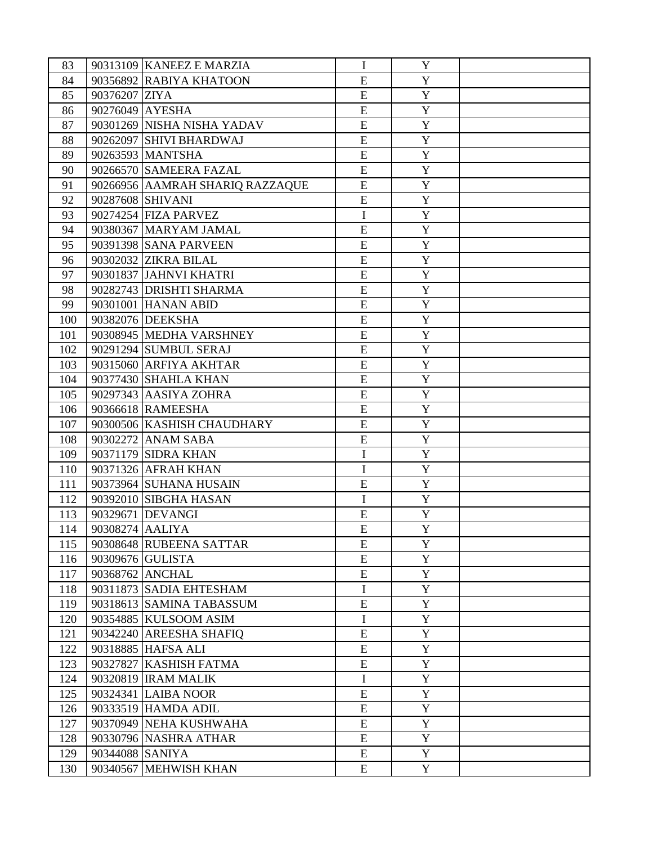| 83  |                  | 90313109 KANEEZ E MARZIA        | $\bf{I}$    | Y                   |  |
|-----|------------------|---------------------------------|-------------|---------------------|--|
| 84  |                  | 90356892 RABIYA KHATOON         | E           | Y                   |  |
| 85  | 90376207 ZIYA    |                                 | E           | Y                   |  |
| 86  | 90276049 AYESHA  |                                 | E           | $\mathbf Y$         |  |
| 87  |                  | 90301269 NISHA NISHA YADAV      | E           | Y                   |  |
| 88  |                  | 90262097 SHIVI BHARDWAJ         | E           | Y                   |  |
| 89  |                  | 90263593 MANTSHA                | E           | $\overline{Y}$      |  |
| 90  |                  | 90266570 SAMEERA FAZAL          | E           | Y                   |  |
| 91  |                  | 90266956 AAMRAH SHARIQ RAZZAQUE | E           | Y                   |  |
| 92  | 90287608 SHIVANI |                                 | E           | $\mathbf Y$         |  |
| 93  |                  | 90274254 FIZA PARVEZ            | I           | Y                   |  |
| 94  |                  | 90380367 MARYAM JAMAL           | E           | Y                   |  |
| 95  |                  | 90391398 SANA PARVEEN           | ${\bf E}$   | $\mathbf Y$         |  |
| 96  |                  | 90302032 ZIKRA BILAL            | E           | Y                   |  |
| 97  |                  | 90301837 JAHNVI KHATRI          | E           | $\mathbf Y$         |  |
| 98  |                  | 90282743 DRISHTI SHARMA         | ${\bf E}$   | Y                   |  |
| 99  |                  | 90301001 HANAN ABID             | E           | $\mathbf Y$         |  |
| 100 |                  | 90382076 DEEKSHA                | E           | $\mathbf Y$         |  |
| 101 |                  | 90308945 MEDHA VARSHNEY         | ${\bf E}$   | Y                   |  |
| 102 |                  | 90291294 SUMBUL SERAJ           | E           | $\mathbf Y$         |  |
| 103 |                  | 90315060 ARFIYA AKHTAR          | E           | $\mathbf Y$         |  |
| 104 |                  | 90377430 SHAHLA KHAN            | E           | Y                   |  |
| 105 |                  | 90297343 AASIYA ZOHRA           | E           | $\mathbf Y$         |  |
| 106 |                  | 90366618 RAMEESHA               | E           | $\mathbf Y$         |  |
| 107 |                  | 90300506 KASHISH CHAUDHARY      | E           | Y                   |  |
| 108 |                  | 90302272 ANAM SABA              | E           | $\mathbf Y$         |  |
| 109 |                  | 90371179 SIDRA KHAN             | $\mathbf I$ | $\mathbf Y$         |  |
|     |                  |                                 |             |                     |  |
| 110 |                  | 90371326 AFRAH KHAN             | I<br>E      | Y<br>$\mathbf Y$    |  |
| 111 |                  | 90373964 SUHANA HUSAIN          |             |                     |  |
| 112 |                  | 90392010 SIBGHA HASAN           | $\mathbf I$ | $\mathbf Y$         |  |
| 113 |                  | 90329671 DEVANGI                | E<br>E      | Y<br>$\overline{Y}$ |  |
| 114 | 90308274 AALIYA  |                                 |             |                     |  |
| 115 |                  | 90308648 RUBEENA SATTAR         | E           | Y                   |  |
| 116 |                  | 90309676 GULISTA                | ${\bf E}$   | Y                   |  |
| 117 |                  | 90368762 ANCHAL                 | ${\bf E}$   | $\mathbf Y$         |  |
| 118 |                  | 90311873 SADIA EHTESHAM         | $\mathbf I$ | Y                   |  |
| 119 |                  | 90318613 SAMINA TABASSUM        | ${\bf E}$   | $\mathbf Y$         |  |
| 120 |                  | 90354885 KULSOOM ASIM           | I           | Y                   |  |
| 121 |                  | 90342240 AREESHA SHAFIQ         | ${\bf E}$   | Y                   |  |
| 122 |                  | 90318885 HAFSA ALI              | ${\bf E}$   | $\mathbf Y$         |  |
| 123 |                  | 90327827 KASHISH FATMA          | ${\bf E}$   | Y                   |  |
| 124 |                  | 90320819 IRAM MALIK             | $\bf I$     | Y                   |  |
| 125 |                  | 90324341 LAIBA NOOR             | ${\bf E}$   | $\mathbf Y$         |  |
| 126 |                  | 90333519 HAMDA ADIL             | ${\bf E}$   | Y                   |  |
| 127 |                  | 90370949 NEHA KUSHWAHA          | ${\bf E}$   | Y                   |  |
| 128 |                  | 90330796 NASHRA ATHAR           | ${\bf E}$   | Y                   |  |
| 129 | 90344088 SANIYA  |                                 | ${\bf E}$   | Y                   |  |
| 130 |                  | 90340567 MEHWISH KHAN           | E           | Y                   |  |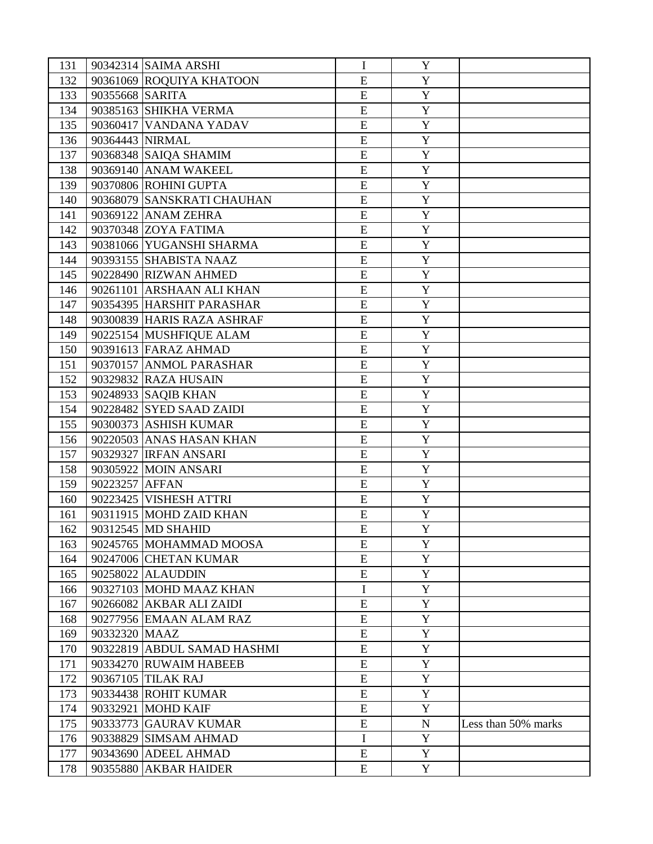| 131 |                 | 90342314 SAIMA ARSHI         | I              | Y            |                     |
|-----|-----------------|------------------------------|----------------|--------------|---------------------|
| 132 |                 | 90361069 ROQUIYA KHATOON     | E              | Y            |                     |
| 133 | 90355668 SARITA |                              | E              | Y            |                     |
| 134 |                 | 90385163 SHIKHA VERMA        | E              | Y            |                     |
| 135 |                 | 90360417 VANDANA YADAV       | E              | Y            |                     |
| 136 | 90364443 NIRMAL |                              | ${\bf E}$      | Y            |                     |
| 137 |                 | 90368348 SAIQA SHAMIM        | ${\bf E}$      | $\mathbf Y$  |                     |
| 138 |                 | 90369140 ANAM WAKEEL         | ${\bf E}$      | Y            |                     |
| 139 |                 | 90370806 ROHINI GUPTA        | ${\bf E}$      | $\mathbf Y$  |                     |
| 140 |                 | 90368079 SANSKRATI CHAUHAN   | E              | Y            |                     |
| 141 |                 | 90369122 ANAM ZEHRA          | E              | Y            |                     |
| 142 |                 | 90370348 ZOYA FATIMA         | ${\bf E}$      | $\mathbf Y$  |                     |
| 143 |                 | 90381066 YUGANSHI SHARMA     | ${\bf E}$      | Y            |                     |
| 144 |                 | 90393155 SHABISTA NAAZ       | ${\bf E}$      | $\mathbf Y$  |                     |
| 145 |                 | 90228490 RIZWAN AHMED        | E              | Y            |                     |
| 146 |                 | 90261101 ARSHAAN ALI KHAN    | E              | Y            |                     |
| 147 |                 | 90354395 HARSHIT PARASHAR    | $\overline{E}$ | Y            |                     |
| 148 |                 | 90300839 HARIS RAZA ASHRAF   | E              | $\mathbf Y$  |                     |
| 149 |                 | 90225154 MUSHFIQUE ALAM      | ${\bf E}$      | Y            |                     |
| 150 |                 | 90391613 FARAZ AHMAD         | E              | $\mathbf Y$  |                     |
| 151 |                 | 90370157 ANMOL PARASHAR      | E              | Y            |                     |
| 152 |                 | 90329832 RAZA HUSAIN         | ${\bf E}$      | Y            |                     |
| 153 |                 | 90248933 SAQIB KHAN          | E              | $\mathbf Y$  |                     |
| 154 |                 | 90228482 SYED SAAD ZAIDI     | E              | $\mathbf Y$  |                     |
|     |                 |                              | ${\bf E}$      | $\mathbf Y$  |                     |
| 155 |                 | 90300373 ASHISH KUMAR        |                |              |                     |
| 156 |                 | 90220503 ANAS HASAN KHAN     | E              | $\mathbf Y$  |                     |
| 157 |                 | 90329327 <b>IRFAN ANSARI</b> | E              | Y            |                     |
| 158 |                 | 90305922 MOIN ANSARI         | E              | Y            |                     |
| 159 | 90223257 AFFAN  |                              | E              | $\mathbf Y$  |                     |
| 160 |                 | 90223425 VISHESH ATTRI       | ${\bf E}$      | Y            |                     |
| 161 |                 | 90311915 MOHD ZAID KHAN      | E              | $\mathbf Y$  |                     |
| 162 |                 | 90312545 MD SHAHID           | E              | Y            |                     |
| 163 |                 | 90245765 MOHAMMAD MOOSA      | E              | Y            |                     |
| 164 |                 | 90247006 CHETAN KUMAR        | ${\bf E}$      | $\mathbf{Y}$ |                     |
| 165 |                 | 90258022 ALAUDDIN            | ${\bf E}$      | Y            |                     |
| 166 |                 | 90327103 MOHD MAAZ KHAN      | $\mathbf I$    | Y            |                     |
| 167 |                 | 90266082 AKBAR ALI ZAIDI     | ${\bf E}$      | Y            |                     |
| 168 |                 | 90277956 EMAAN ALAM RAZ      | E              | Y            |                     |
| 169 | 90332320 MAAZ   |                              | ${\bf E}$      | Y            |                     |
| 170 |                 | 90322819 ABDUL SAMAD HASHMI  | ${\bf E}$      | Y            |                     |
| 171 |                 | 90334270 RUWAIM HABEEB       | ${\bf E}$      | Y            |                     |
| 172 |                 | 90367105 TILAK RAJ           | ${\bf E}$      | $\mathbf{Y}$ |                     |
| 173 |                 | 90334438 ROHIT KUMAR         | ${\bf E}$      | Y            |                     |
| 174 |                 | 90332921 MOHD KAIF           | ${\bf E}$      | Y            |                     |
| 175 |                 | 90333773 GAURAV KUMAR        | ${\bf E}$      | ${\bf N}$    | Less than 50% marks |
| 176 |                 | 90338829 SIMSAM AHMAD        | $\mathbf I$    | Y            |                     |
| 177 |                 | 90343690 ADEEL AHMAD         | ${\bf E}$      | Y            |                     |
| 178 |                 | 90355880 AKBAR HAIDER        | E              | Y            |                     |
|     |                 |                              |                |              |                     |